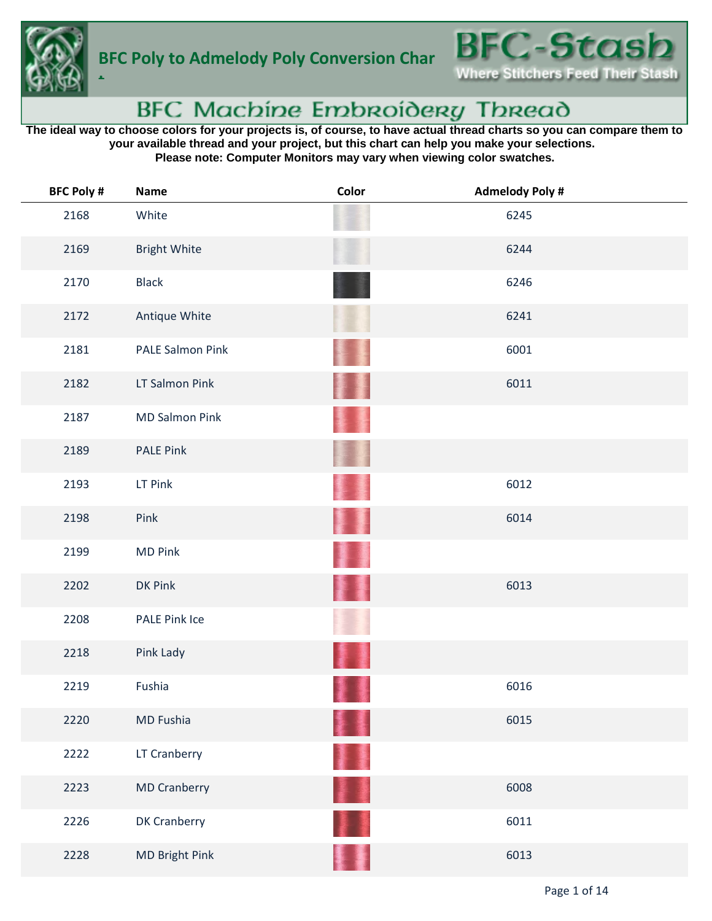

**t**



## BFC Machine Embroidery Thread

**The ideal way to choose colors for your projects is, of course, to have actual thread charts so you can compare them to your available thread and your project, but this chart can help you make your selections. Please note: Computer Monitors may vary when viewing color swatches.**

| <b>BFC Poly #</b> | <b>Name</b>           | Color | <b>Admelody Poly #</b> |
|-------------------|-----------------------|-------|------------------------|
| 2168              | White                 |       | 6245                   |
| 2169              | <b>Bright White</b>   |       | 6244                   |
| 2170              | <b>Black</b>          |       | 6246                   |
| 2172              | Antique White         |       | 6241                   |
| 2181              | PALE Salmon Pink      |       | 6001                   |
| 2182              | LT Salmon Pink        |       | 6011                   |
| 2187              | <b>MD Salmon Pink</b> |       |                        |
| 2189              | <b>PALE Pink</b>      |       |                        |
| 2193              | LT Pink               |       | 6012                   |
| 2198              | Pink                  |       | 6014                   |
| 2199              | <b>MD Pink</b>        |       |                        |
| 2202              | DK Pink               |       | 6013                   |
| 2208              | PALE Pink Ice         |       |                        |
| 2218              | Pink Lady             |       |                        |
| 2219              | Fushia                |       | 6016                   |
| 2220              | MD Fushia             |       | 6015                   |
| 2222              | LT Cranberry          | ▌     |                        |
| 2223              | <b>MD Cranberry</b>   | P I   | 6008                   |
| 2226              | DK Cranberry          |       | 6011                   |
| 2228              | MD Bright Pink        |       | 6013                   |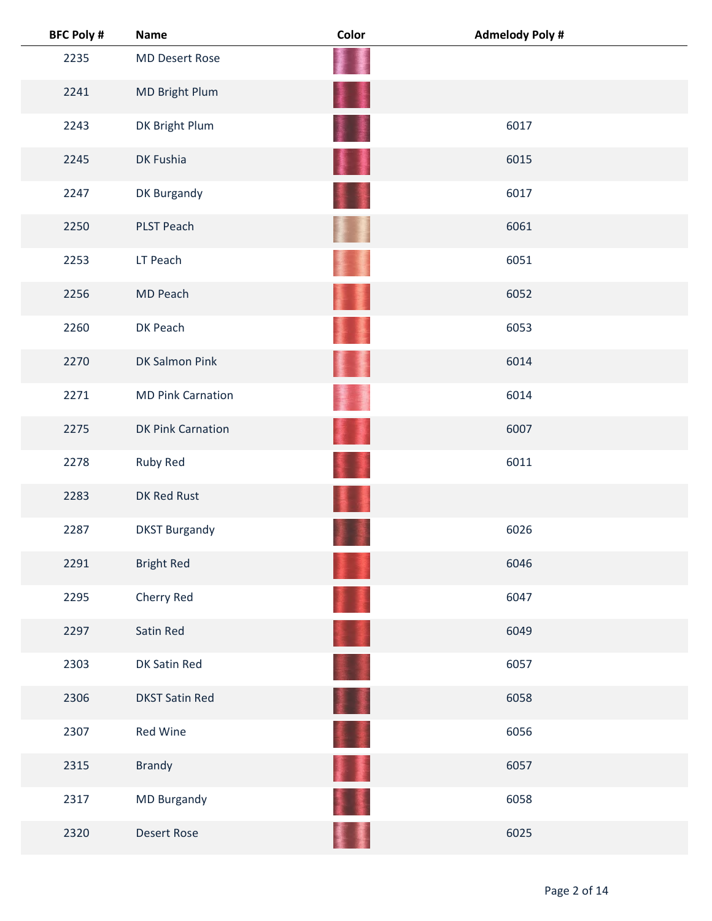| <b>BFC Poly #</b> | <b>Name</b>              | Color | <b>Admelody Poly #</b> |
|-------------------|--------------------------|-------|------------------------|
| 2235              | <b>MD Desert Rose</b>    |       |                        |
| 2241              | MD Bright Plum           | ł     |                        |
| 2243              | DK Bright Plum           |       | 6017                   |
| 2245              | DK Fushia                |       | 6015                   |
| 2247              | DK Burgandy              |       | 6017                   |
| 2250              | PLST Peach               |       | 6061                   |
| 2253              | LT Peach                 |       | 6051                   |
| 2256              | MD Peach                 |       | 6052                   |
| 2260              | DK Peach                 |       | 6053                   |
| 2270              | DK Salmon Pink           |       | 6014                   |
| 2271              | <b>MD Pink Carnation</b> |       | 6014                   |
| 2275              | <b>DK Pink Carnation</b> |       | 6007                   |
| 2278              | Ruby Red                 |       | 6011                   |
| 2283              | DK Red Rust              |       |                        |
| 2287              | <b>DKST Burgandy</b>     |       | 6026                   |
| 2291              | <b>Bright Red</b>        |       | 6046                   |
| 2295              | Cherry Red               |       | 6047                   |
| 2297              | Satin Red                |       | 6049                   |
| 2303              | DK Satin Red             |       | 6057                   |
| 2306              | <b>DKST Satin Red</b>    | 懂     | 6058                   |
| 2307              | Red Wine                 |       | 6056                   |
| 2315              | Brandy                   |       | 6057                   |
| 2317              | MD Burgandy              |       | 6058                   |
| 2320              | <b>Desert Rose</b>       |       | 6025                   |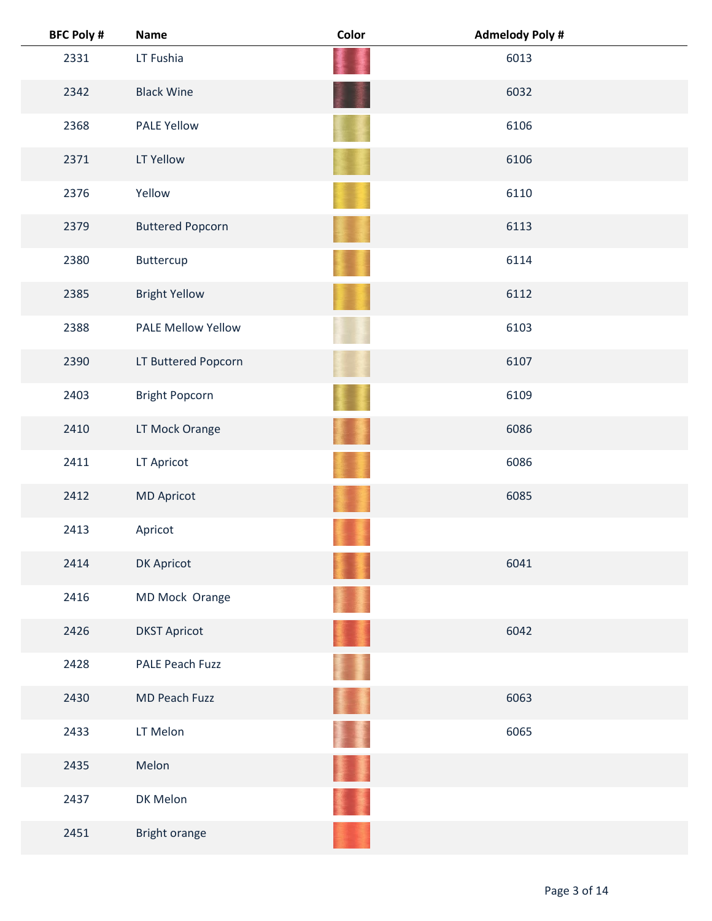| <b>BFC Poly #</b> | <b>Name</b>             | Color | <b>Admelody Poly #</b> |
|-------------------|-------------------------|-------|------------------------|
| 2331              | LT Fushia               |       | 6013                   |
| 2342              | <b>Black Wine</b>       |       | 6032                   |
| 2368              | <b>PALE Yellow</b>      |       | 6106                   |
| 2371              | LT Yellow               |       | 6106                   |
| 2376              | Yellow                  |       | 6110                   |
| 2379              | <b>Buttered Popcorn</b> |       | 6113                   |
| 2380              | Buttercup               |       | 6114                   |
| 2385              | <b>Bright Yellow</b>    |       | 6112                   |
| 2388              | PALE Mellow Yellow      |       | 6103                   |
| 2390              | LT Buttered Popcorn     |       | 6107                   |
| 2403              | <b>Bright Popcorn</b>   |       | 6109                   |
| 2410              | LT Mock Orange          |       | 6086                   |
| 2411              | LT Apricot              |       | 6086                   |
| 2412              | <b>MD Apricot</b>       |       | 6085                   |
| 2413              | Apricot                 |       |                        |
| 2414              | DK Apricot              |       | 6041                   |
| 2416              | MD Mock Orange          |       |                        |
| 2426              | <b>DKST Apricot</b>     |       | 6042                   |
| 2428              | PALE Peach Fuzz         |       |                        |
| 2430              | MD Peach Fuzz           | B.    | 6063                   |
| 2433              | LT Melon                |       | 6065                   |
| 2435              | Melon                   |       |                        |
| 2437              | DK Melon                |       |                        |
| 2451              | Bright orange           |       |                        |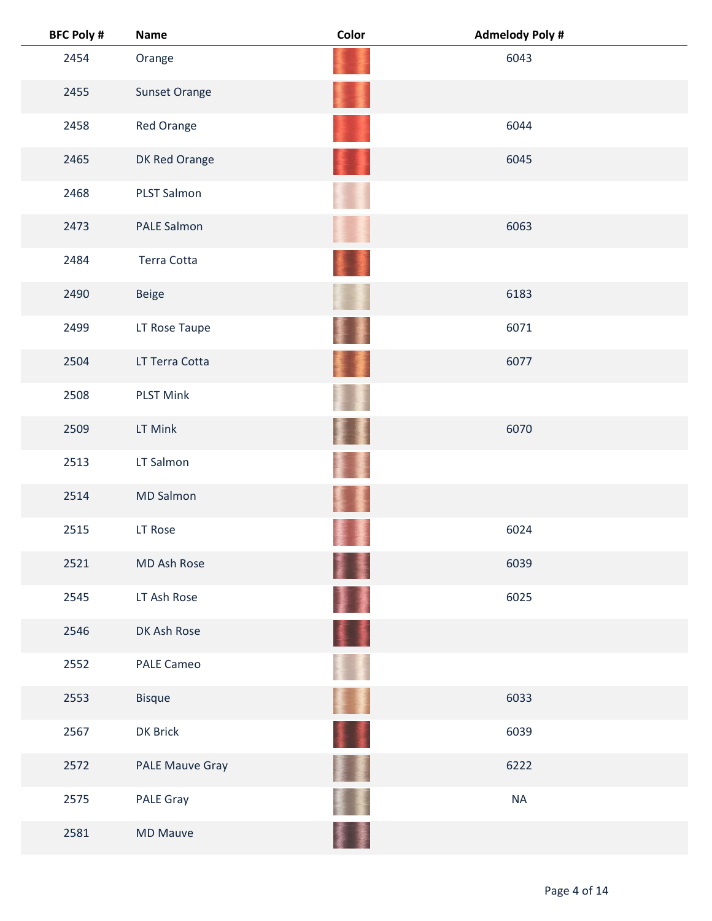| <b>BFC Poly #</b> | <b>Name</b>            | Color   | <b>Admelody Poly#</b> |
|-------------------|------------------------|---------|-----------------------|
| 2454              | Orange                 |         | 6043                  |
| 2455              | <b>Sunset Orange</b>   |         |                       |
| 2458              | Red Orange             |         | 6044                  |
| 2465              | DK Red Orange          |         | 6045                  |
| 2468              | <b>PLST Salmon</b>     |         |                       |
| 2473              | PALE Salmon            |         | 6063                  |
| 2484              | <b>Terra Cotta</b>     |         |                       |
| 2490              | <b>Beige</b>           |         | 6183                  |
| 2499              | LT Rose Taupe          |         | 6071                  |
| 2504              | LT Terra Cotta         |         | 6077                  |
| 2508              | <b>PLST Mink</b>       |         |                       |
| 2509              | LT Mink                |         | 6070                  |
| 2513              | LT Salmon              |         |                       |
| 2514              | <b>MD Salmon</b>       |         |                       |
| 2515              | LT Rose                |         | 6024                  |
| 2521              | MD Ash Rose            | 新闻<br>ł | 6039                  |
| 2545              | LT Ash Rose            | ł       | 6025                  |
| 2546              | DK Ash Rose            | 美重      |                       |
| 2552              | <b>PALE Cameo</b>      |         |                       |
| 2553              | <b>Bisque</b>          | Ħ       | 6033                  |
| 2567              | DK Brick               | 11      | 6039                  |
| 2572              | <b>PALE Mauve Gray</b> |         | 6222                  |
| 2575              | PALE Gray              |         | <b>NA</b>             |
| 2581              | <b>MD Mauve</b>        |         |                       |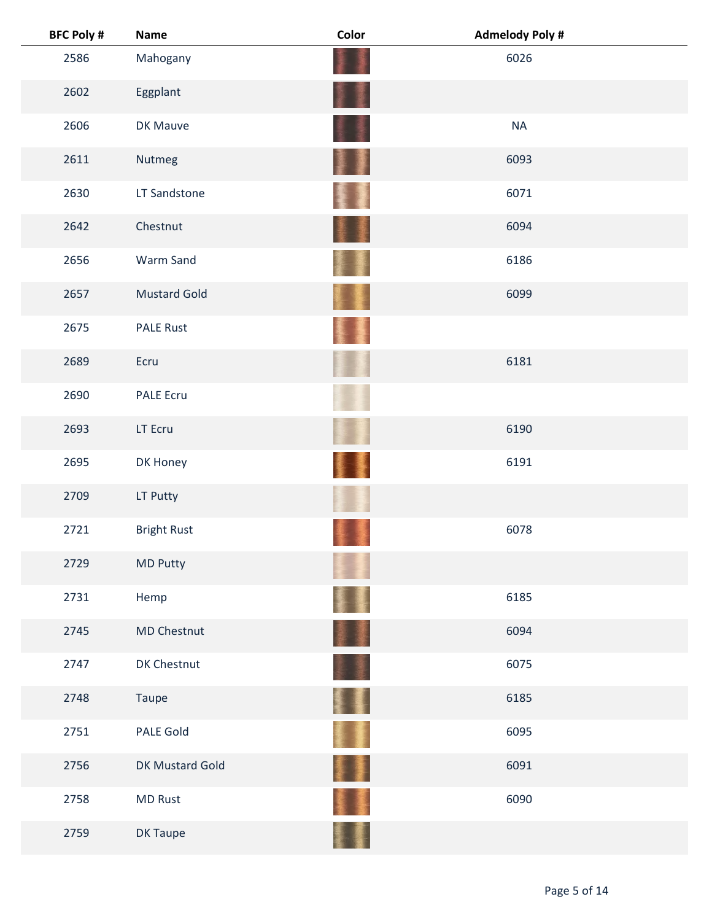| <b>BFC Poly #</b> | <b>Name</b>         | Color | <b>Admelody Poly#</b> |
|-------------------|---------------------|-------|-----------------------|
| 2586              | Mahogany            |       | 6026                  |
| 2602              | Eggplant            |       |                       |
| 2606              | DK Mauve            |       | <b>NA</b>             |
| 2611              | Nutmeg              | J     | 6093                  |
| 2630              | LT Sandstone        |       | 6071                  |
| 2642              | Chestnut            |       | 6094                  |
| 2656              | Warm Sand           |       | 6186                  |
| 2657              | <b>Mustard Gold</b> |       | 6099                  |
| 2675              | <b>PALE Rust</b>    |       |                       |
| 2689              | Ecru                |       | 6181                  |
| 2690              | <b>PALE Ecru</b>    |       |                       |
| 2693              | LT Ecru             |       | 6190                  |
| 2695              | DK Honey            |       | 6191                  |
| 2709              | LT Putty            |       |                       |
| 2721              | <b>Bright Rust</b>  |       | 6078                  |
| 2729              | MD Putty            |       |                       |
| 2731              | Hemp                |       | 6185                  |
| 2745              | MD Chestnut         | 葦澤    | 6094                  |
| 2747              | DK Chestnut         |       | 6075                  |
| 2748              | Taupe               | Ħ     | 6185                  |
| 2751              | <b>PALE Gold</b>    |       | 6095                  |
| 2756              | DK Mustard Gold     |       | 6091                  |
| 2758              | <b>MD Rust</b>      |       | 6090                  |
| 2759              | DK Taupe            |       |                       |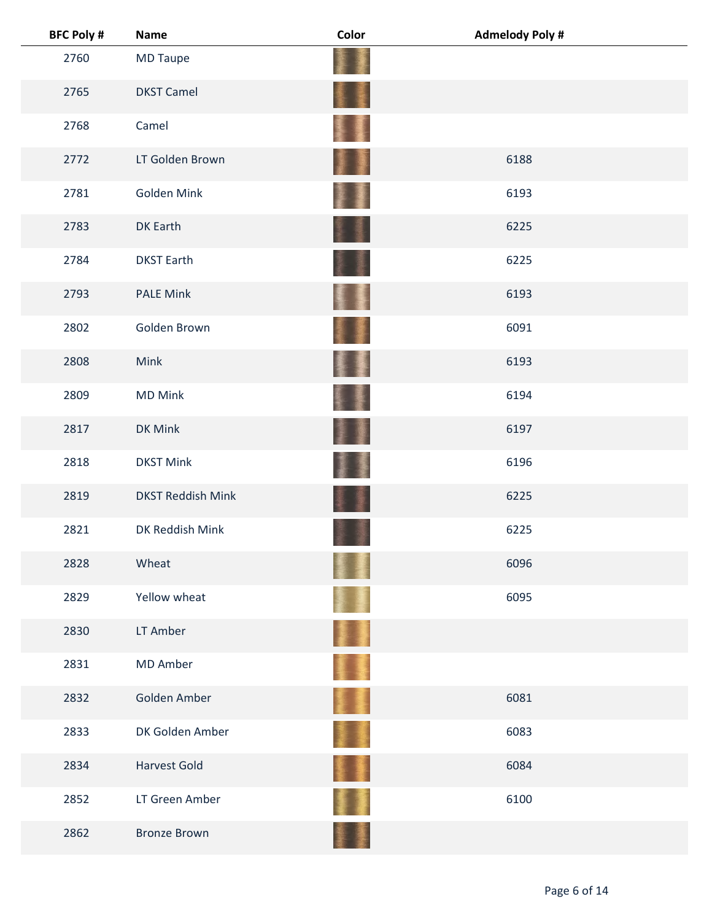| <b>BFC Poly #</b> | <b>Name</b>              | Color | <b>Admelody Poly#</b> |
|-------------------|--------------------------|-------|-----------------------|
| 2760              | <b>MD Taupe</b>          |       |                       |
| 2765              | <b>DKST Camel</b>        | ł     |                       |
| 2768              | Camel                    | 覆.    |                       |
| 2772              | LT Golden Brown          |       | 6188                  |
| 2781              | Golden Mink              |       | 6193                  |
| 2783              | <b>DK Earth</b>          |       | 6225                  |
| 2784              | <b>DKST Earth</b>        |       | 6225                  |
| 2793              | <b>PALE Mink</b>         | ŧ     | 6193                  |
| 2802              | Golden Brown             | 窶     | 6091                  |
| 2808              | Mink                     | 星     | 6193                  |
| 2809              | <b>MD Mink</b>           |       | 6194                  |
| 2817              | DK Mink                  | 廔     | 6197                  |
| 2818              | <b>DKST Mink</b>         |       | 6196                  |
| 2819              | <b>DKST Reddish Mink</b> |       | 6225                  |
| 2821              | DK Reddish Mink          |       | 6225                  |
| 2828              | Wheat                    |       | 6096                  |
| 2829              | Yellow wheat             |       | 6095                  |
| 2830              | LT Amber                 | H     |                       |
| 2831              | <b>MD Amber</b>          | Ŧ     |                       |
| 2832              | Golden Amber             | H.    | 6081                  |
| 2833              | DK Golden Amber          |       | 6083                  |
| 2834              | <b>Harvest Gold</b>      |       | 6084                  |
| 2852              | LT Green Amber           |       | 6100                  |
| 2862              | <b>Bronze Brown</b>      |       |                       |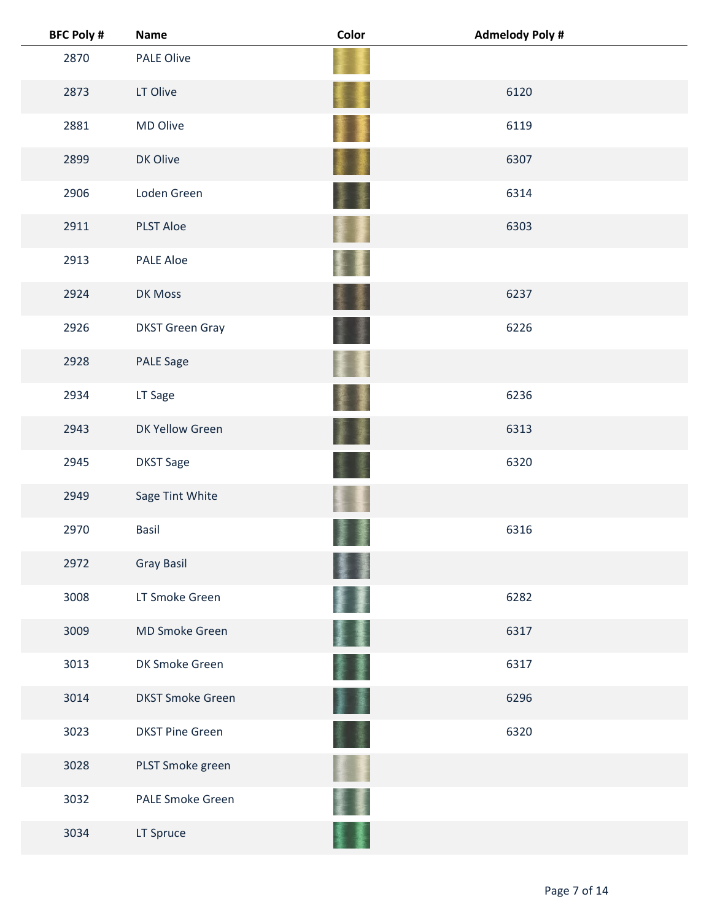| <b>BFC Poly #</b> | <b>Name</b>             | Color      | <b>Admelody Poly #</b> |
|-------------------|-------------------------|------------|------------------------|
| 2870              | <b>PALE Olive</b>       |            |                        |
| 2873              | LT Olive                |            | 6120                   |
| 2881              | MD Olive                |            | 6119                   |
| 2899              | DK Olive                |            | 6307                   |
| 2906              | Loden Green             |            | 6314                   |
| 2911              | <b>PLST Aloe</b>        |            | 6303                   |
| 2913              | <b>PALE Aloe</b>        |            |                        |
| 2924              | DK Moss                 |            | 6237                   |
| 2926              | <b>DKST Green Gray</b>  |            | 6226                   |
| 2928              | <b>PALE Sage</b>        |            |                        |
| 2934              | LT Sage                 |            | 6236                   |
| 2943              | DK Yellow Green         |            | 6313                   |
| 2945              | <b>DKST Sage</b>        |            | 6320                   |
| 2949              | Sage Tint White         |            |                        |
| 2970              | <b>Basil</b>            |            | 6316                   |
| 2972              | <b>Gray Basil</b>       |            |                        |
| 3008              | LT Smoke Green          |            | 6282                   |
| 3009              | <b>MD Smoke Green</b>   |            | 6317                   |
| 3013              | DK Smoke Green          |            | 6317                   |
| 3014              | <b>DKST Smoke Green</b> | <b>夏 蘆</b> | 6296                   |
| 3023              | <b>DKST Pine Green</b>  |            | 6320                   |
| 3028              | PLST Smoke green        |            |                        |
| 3032              | <b>PALE Smoke Green</b> |            |                        |
| 3034              | LT Spruce               |            |                        |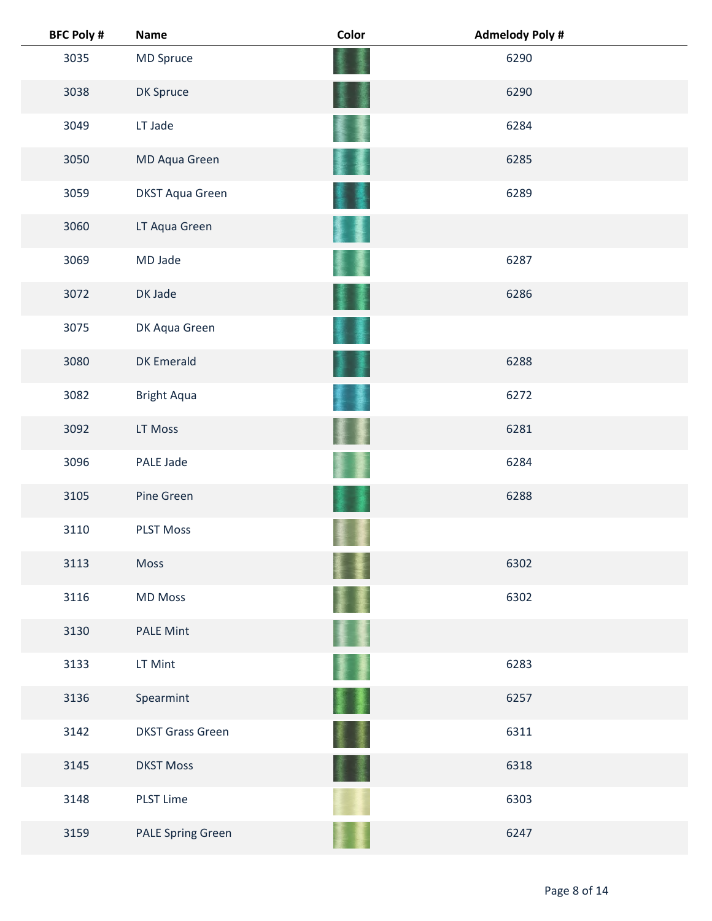| <b>BFC Poly #</b> | <b>Name</b>              | Color | <b>Admelody Poly #</b> |  |
|-------------------|--------------------------|-------|------------------------|--|
| 3035              | MD Spruce                |       | 6290                   |  |
| 3038              | DK Spruce                |       | 6290                   |  |
| 3049              | LT Jade                  |       | 6284                   |  |
| 3050              | MD Aqua Green            |       | 6285                   |  |
| 3059              | <b>DKST Aqua Green</b>   |       | 6289                   |  |
| 3060              | LT Aqua Green            |       |                        |  |
| 3069              | MD Jade                  |       | 6287                   |  |
| 3072              | DK Jade                  |       | 6286                   |  |
| 3075              | DK Aqua Green            |       |                        |  |
| 3080              | <b>DK Emerald</b>        |       | 6288                   |  |
| 3082              | <b>Bright Aqua</b>       |       | 6272                   |  |
| 3092              | LT Moss                  |       | 6281                   |  |
| 3096              | PALE Jade                |       | 6284                   |  |
| 3105              | Pine Green               |       | 6288                   |  |
| 3110              | <b>PLST Moss</b>         |       |                        |  |
| 3113              | Moss                     |       | 6302                   |  |
| 3116              | <b>MD Moss</b>           |       | 6302                   |  |
| 3130              | <b>PALE Mint</b>         |       |                        |  |
| 3133              | LT Mint                  |       | 6283                   |  |
| 3136              | Spearmint                | 屢     | 6257                   |  |
| 3142              | <b>DKST Grass Green</b>  |       | 6311                   |  |
| 3145              | <b>DKST Moss</b>         |       | 6318                   |  |
| 3148              | <b>PLST Lime</b>         |       | 6303                   |  |
| 3159              | <b>PALE Spring Green</b> |       | 6247                   |  |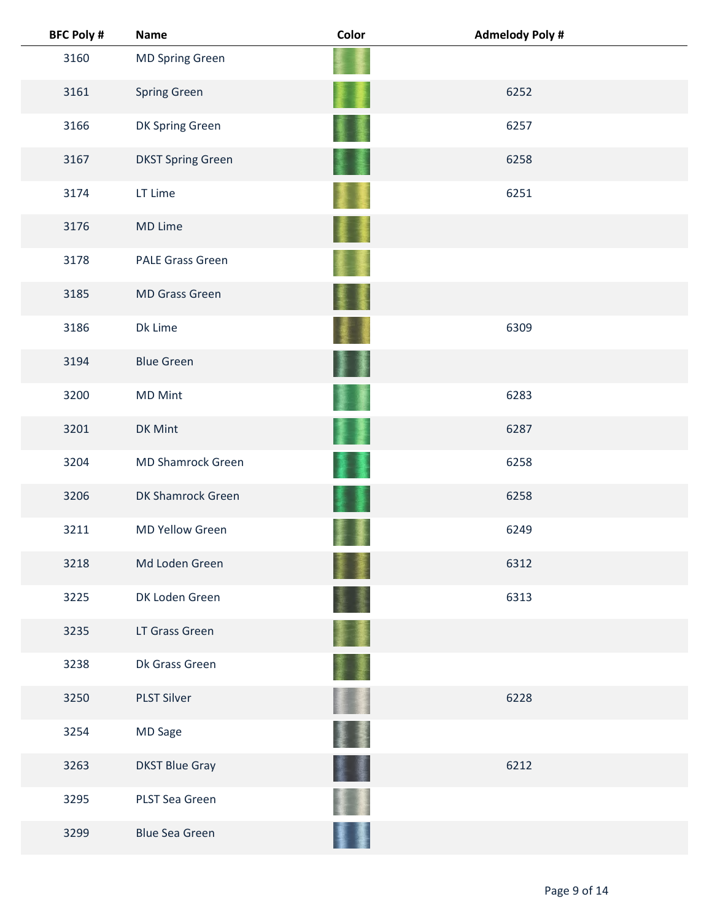| <b>BFC Poly #</b> | <b>Name</b>              | Color | <b>Admelody Poly #</b> |  |
|-------------------|--------------------------|-------|------------------------|--|
| 3160              | <b>MD Spring Green</b>   |       |                        |  |
| 3161              | <b>Spring Green</b>      |       | 6252                   |  |
| 3166              | DK Spring Green          |       | 6257                   |  |
| 3167              | <b>DKST Spring Green</b> |       | 6258                   |  |
| 3174              | LT Lime                  |       | 6251                   |  |
| 3176              | MD Lime                  |       |                        |  |
| 3178              | <b>PALE Grass Green</b>  |       |                        |  |
| 3185              | <b>MD Grass Green</b>    |       |                        |  |
| 3186              | Dk Lime                  |       | 6309                   |  |
| 3194              | <b>Blue Green</b>        |       |                        |  |
| 3200              | <b>MD Mint</b>           |       | 6283                   |  |
| 3201              | DK Mint                  |       | 6287                   |  |
| 3204              | <b>MD Shamrock Green</b> |       | 6258                   |  |
| 3206              | DK Shamrock Green        |       | 6258                   |  |
| 3211              | <b>MD Yellow Green</b>   |       | 6249                   |  |
| 3218              | Md Loden Green           |       | 6312                   |  |
| 3225              | DK Loden Green           |       | 6313                   |  |
| 3235              | LT Grass Green           |       |                        |  |
| 3238              | Dk Grass Green           |       |                        |  |
| 3250              | <b>PLST Silver</b>       |       | 6228                   |  |
| 3254              | MD Sage                  |       |                        |  |
| 3263              | <b>DKST Blue Gray</b>    |       | 6212                   |  |
| 3295              | PLST Sea Green           |       |                        |  |
| 3299              | <b>Blue Sea Green</b>    |       |                        |  |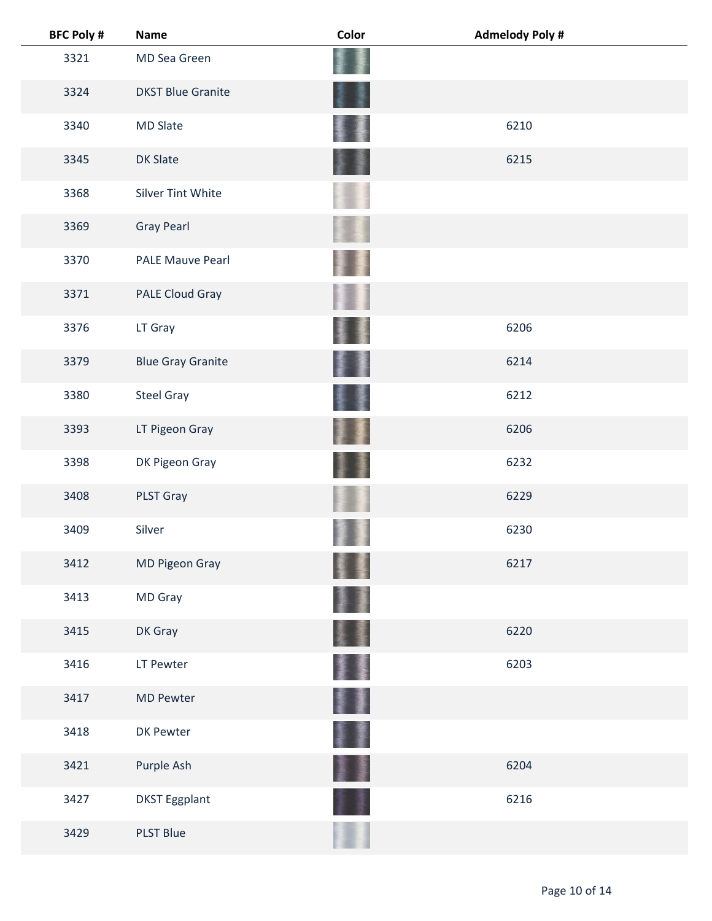| <b>BFC Poly #</b> | <b>Name</b>       |                          | Color | <b>Admelody Poly #</b> |
|-------------------|-------------------|--------------------------|-------|------------------------|
| 3321              | MD Sea Green      |                          |       |                        |
| 3324              |                   | <b>DKST Blue Granite</b> |       |                        |
| 3340              | <b>MD Slate</b>   |                          |       | 6210                   |
| 3345              | DK Slate          |                          |       | 6215                   |
| 3368              |                   | <b>Silver Tint White</b> |       |                        |
| 3369              | <b>Gray Pearl</b> |                          |       |                        |
| 3370              |                   | <b>PALE Mauve Pearl</b>  |       |                        |
| 3371              |                   | PALE Cloud Gray          |       |                        |
| 3376              | LT Gray           |                          |       | 6206                   |
| 3379              |                   | <b>Blue Gray Granite</b> |       | 6214                   |
| 3380              | <b>Steel Gray</b> |                          |       | 6212                   |
| 3393              |                   | LT Pigeon Gray           |       | 6206                   |
| 3398              |                   | DK Pigeon Gray           |       | 6232                   |
| 3408              | PLST Gray         |                          |       | 6229                   |
| 3409              | Silver            |                          |       | 6230                   |
| 3412              |                   | MD Pigeon Gray           |       | 6217                   |
| 3413              | MD Gray           |                          |       |                        |
| 3415              | DK Gray           |                          |       | 6220                   |
| 3416              | LT Pewter         |                          | 鬘     | 6203                   |
| 3417              | <b>MD Pewter</b>  |                          | J     |                        |
| 3418              | <b>DK Pewter</b>  |                          |       |                        |
| 3421              | Purple Ash        |                          |       | 6204                   |
| 3427              |                   | <b>DKST Eggplant</b>     |       | 6216                   |
| 3429              | <b>PLST Blue</b>  |                          |       |                        |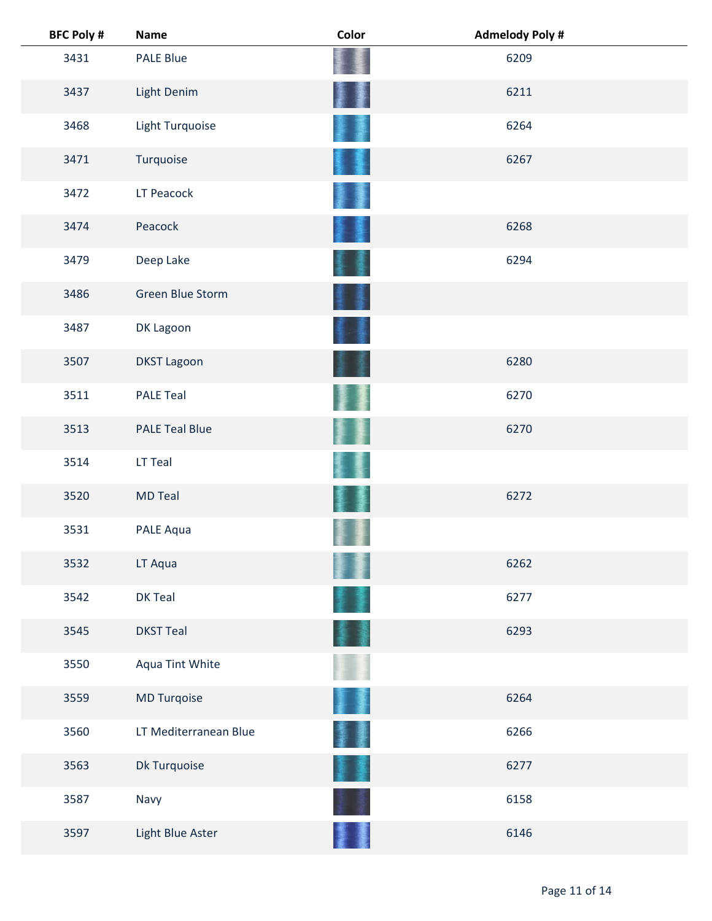| <b>BFC Poly #</b> | <b>Name</b>           | Color | <b>Admelody Poly#</b> |
|-------------------|-----------------------|-------|-----------------------|
| 3431              | <b>PALE Blue</b>      |       | 6209                  |
| 3437              | Light Denim           |       | 6211                  |
| 3468              | Light Turquoise       |       | 6264                  |
| 3471              | Turquoise             |       | 6267                  |
| 3472              | LT Peacock            |       |                       |
| 3474              | Peacock               |       | 6268                  |
| 3479              | Deep Lake             |       | 6294                  |
| 3486              | Green Blue Storm      |       |                       |
| 3487              | DK Lagoon             |       |                       |
| 3507              | <b>DKST Lagoon</b>    |       | 6280                  |
| 3511              | <b>PALE Teal</b>      |       | 6270                  |
| 3513              | <b>PALE Teal Blue</b> |       | 6270                  |
| 3514              | LT Teal               |       |                       |
| 3520              | <b>MD Teal</b>        |       | 6272                  |
| 3531              | PALE Aqua             |       |                       |
| 3532              | LT Aqua               |       | 6262                  |
| 3542              | DK Teal               |       | 6277                  |
| 3545              | <b>DKST Teal</b>      |       | 6293                  |
| 3550              | Aqua Tint White       |       |                       |
| 3559              | MD Turqoise           |       | 6264                  |
| 3560              | LT Mediterranean Blue |       | 6266                  |
| 3563              | Dk Turquoise          |       | 6277                  |
| 3587              | Navy                  |       | 6158                  |
| 3597              | Light Blue Aster      |       | 6146                  |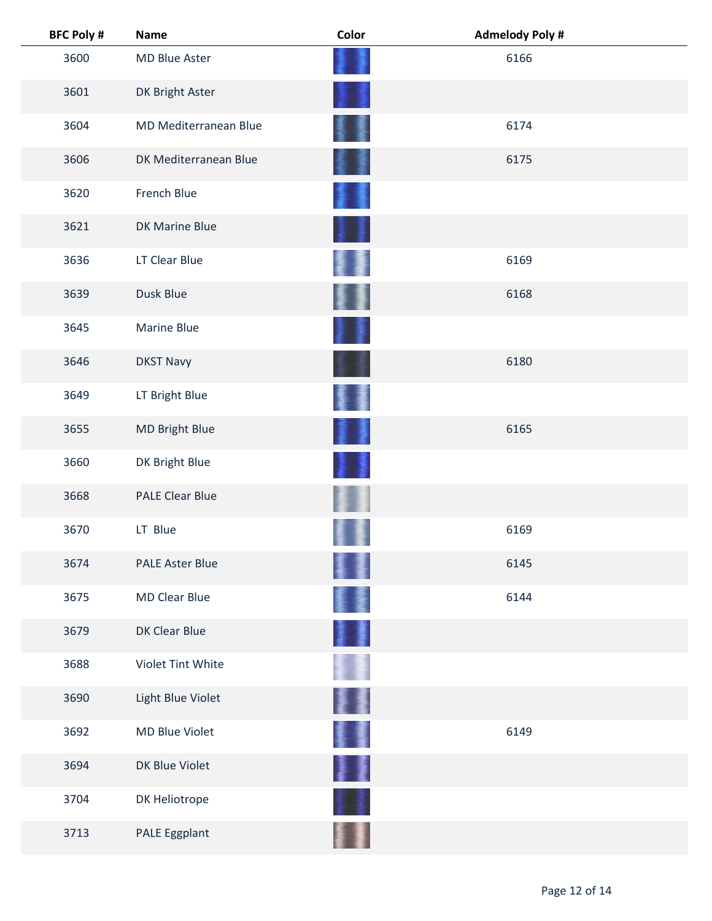| <b>BFC Poly #</b> | <b>Name</b>            | Color  | <b>Admelody Poly #</b> |  |
|-------------------|------------------------|--------|------------------------|--|
| 3600              | MD Blue Aster          |        | 6166                   |  |
| 3601              | DK Bright Aster        |        |                        |  |
| 3604              | MD Mediterranean Blue  |        | 6174                   |  |
| 3606              | DK Mediterranean Blue  |        | 6175                   |  |
| 3620              | French Blue            |        |                        |  |
| 3621              | DK Marine Blue         |        |                        |  |
| 3636              | LT Clear Blue          |        | 6169                   |  |
| 3639              | Dusk Blue              |        | 6168                   |  |
| 3645              | Marine Blue            |        |                        |  |
| 3646              | <b>DKST Navy</b>       |        | 6180                   |  |
| 3649              | LT Bright Blue         |        |                        |  |
| 3655              | MD Bright Blue         |        | 6165                   |  |
| 3660              | DK Bright Blue         |        |                        |  |
| 3668              | <b>PALE Clear Blue</b> |        |                        |  |
| 3670              | LT Blue                |        | 6169                   |  |
| 3674              | <b>PALE Aster Blue</b> |        | 6145                   |  |
| 3675              | <b>MD Clear Blue</b>   |        | 6144                   |  |
| 3679              | DK Clear Blue          | 畫      |                        |  |
| 3688              | Violet Tint White      |        |                        |  |
| 3690              | Light Blue Violet      |        |                        |  |
| 3692              | MD Blue Violet         | 屢      | 6149                   |  |
| 3694              | DK Blue Violet         | ł<br>漫 |                        |  |
| 3704              | DK Heliotrope          |        |                        |  |
| 3713              | PALE Eggplant          |        |                        |  |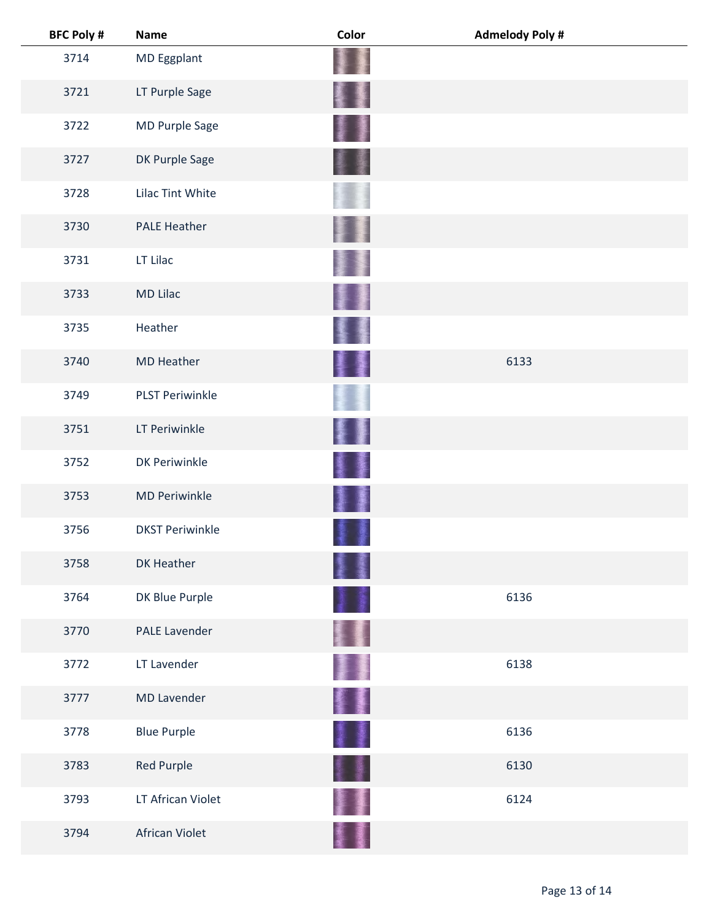| <b>BFC Poly #</b> | <b>Name</b>            | Color    | <b>Admelody Poly #</b> |  |
|-------------------|------------------------|----------|------------------------|--|
| 3714              | MD Eggplant            |          |                        |  |
| 3721              | LT Purple Sage         |          |                        |  |
| 3722              | MD Purple Sage         |          |                        |  |
| 3727              | DK Purple Sage         |          |                        |  |
| 3728              | Lilac Tint White       |          |                        |  |
| 3730              | <b>PALE Heather</b>    |          |                        |  |
| 3731              | LT Lilac               |          |                        |  |
| 3733              | <b>MD Lilac</b>        |          |                        |  |
| 3735              | Heather                |          |                        |  |
| 3740              | <b>MD Heather</b>      | 璗        | 6133                   |  |
| 3749              | <b>PLST Periwinkle</b> |          |                        |  |
| 3751              | LT Periwinkle          |          |                        |  |
| 3752              | <b>DK Periwinkle</b>   |          |                        |  |
| 3753              | <b>MD Periwinkle</b>   |          |                        |  |
| 3756              | <b>DKST Periwinkle</b> |          |                        |  |
| 3758              | DK Heather             |          |                        |  |
| 3764              | DK Blue Purple         |          | 6136                   |  |
| 3770              | <b>PALE Lavender</b>   |          |                        |  |
| 3772              | LT Lavender            | L        | 6138                   |  |
| 3777              | <b>MD Lavender</b>     | 撃乱 かんじょう |                        |  |
| 3778              | <b>Blue Purple</b>     | 1        | 6136                   |  |
| 3783              | <b>Red Purple</b>      | a<br>Ba  | 6130                   |  |
| 3793              | LT African Violet      |          | 6124                   |  |
| 3794              | African Violet         |          |                        |  |